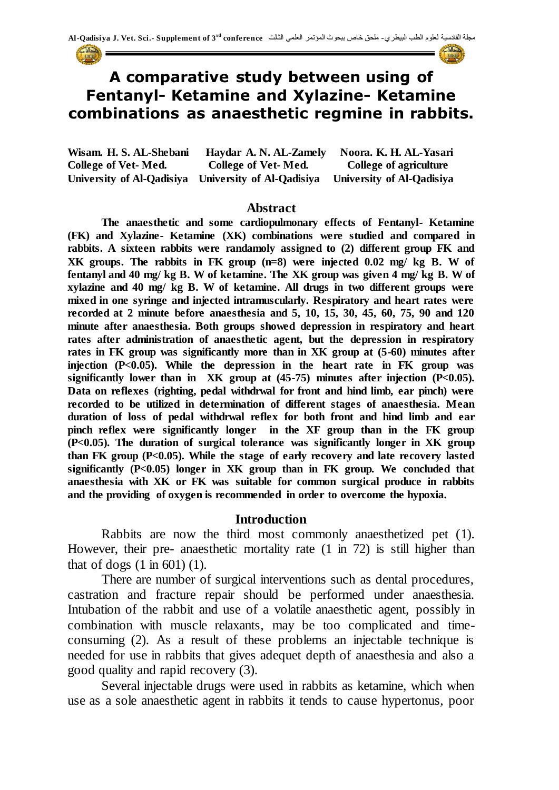

# **A comparative study between using of Fentanyl- Ketamine and Xylazine- Ketamine combinations as anaesthetic regmine in rabbits.**

**Wisam. H. S. AL-Shebani Haydar A. N. AL-Zamely Noora. K. H. AL-Yasari College of Vet- Med. College of Vet- Med. College of agriculture University of Al-Qadisiya University of Al-Qadisiya University of Al-Qadisiya** 

#### **Abstract**

**The anaesthetic and some cardiopulmonary effects of Fentanyl- Ketamine (FK) and Xylazine- Ketamine (XK) combinations were studied and compared in rabbits. A sixteen rabbits were randamoly assigned to (2) different group FK and XK groups. The rabbits in FK group (n=8) were injected 0.02 mg/ kg B. W of fentanyl and 40 mg/ kg B. W of ketamine. The XK group was given 4 mg/ kg B. W of xylazine and 40 mg/ kg B. W of ketamine. All drugs in two different groups were mixed in one syringe and injected intramuscularly. Respiratory and heart rates were recorded at 2 minute before anaesthesia and 5, 10, 15, 30, 45, 60, 75, 90 and 120 minute after anaesthesia. Both groups showed depression in respiratory and heart rates after administration of anaesthetic agent, but the depression in respiratory rates in FK group was significantly more than in XK group at (5-60) minutes after injection (P<0.05). While the depression in the heart rate in FK group was significantly lower than in XK group at (45-75) minutes after injection (P<0.05). Data on reflexes (righting, pedal withdrwal for front and hind limb, ear pinch) were recorded to be utilized in determination of different stages of anaesthesia. Mean duration of loss of pedal withdrwal reflex for both front and hind limb and ear pinch reflex were significantly longer in the XF group than in the FK group (P<0.05). The duration of surgical tolerance was significantly longer in XK group than FK group (P<0.05). While the stage of early recovery and late recovery lasted significantly (P<0.05) longer in XK group than in FK group. We concluded that anaesthesia with XK or FK was suitable for common surgical produce in rabbits and the providing of oxygen is recommended in order to overcome the hypoxia.**

#### **Introduction**

Rabbits are now the third most commonly anaesthetized pet (1). However, their pre- anaesthetic mortality rate (1 in 72) is still higher than that of dogs  $(1 \text{ in } 601)$   $(1)$ .

There are number of surgical interventions such as dental procedures, castration and fracture repair should be performed under anaesthesia. Intubation of the rabbit and use of a volatile anaesthetic agent, possibly in combination with muscle relaxants, may be too complicated and timeconsuming (2). As a result of these problems an injectable technique is needed for use in rabbits that gives adequet depth of anaesthesia and also a good quality and rapid recovery (3).

Several injectable drugs were used in rabbits as ketamine, which when use as a sole anaesthetic agent in rabbits it tends to cause hypertonus, poor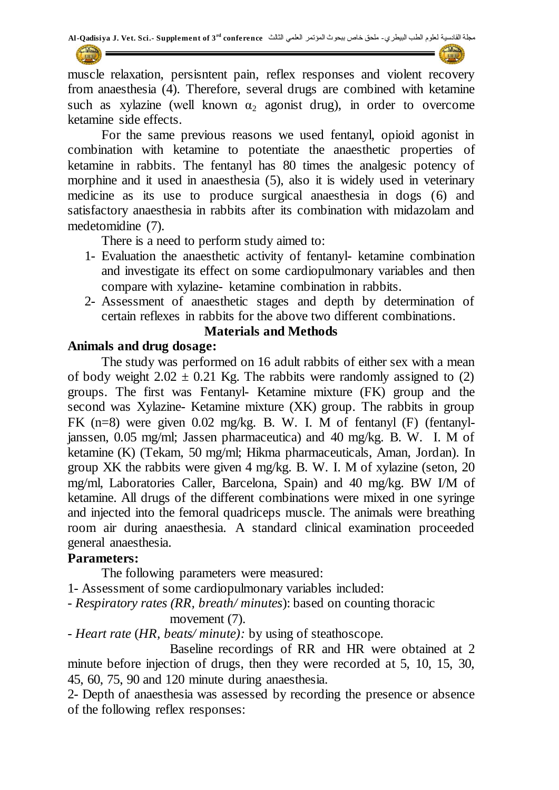muscle relaxation, persisntent pain, reflex responses and violent recovery from anaesthesia (4). Therefore, several drugs are combined with ketamine such as xylazine (well known  $\alpha_2$  agonist drug), in order to overcome ketamine side effects.

For the same previous reasons we used fentanyl, opioid agonist in combination with ketamine to potentiate the anaesthetic properties of ketamine in rabbits. The fentanyl has 80 times the analgesic potency of morphine and it used in anaesthesia (5), also it is widely used in veterinary medicine as its use to produce surgical anaesthesia in dogs (6) and satisfactory anaesthesia in rabbits after its combination with midazolam and medetomidine (7).

There is a need to perform study aimed to:

- 1- Evaluation the anaesthetic activity of fentanyl- ketamine combination and investigate its effect on some cardiopulmonary variables and then compare with xylazine- ketamine combination in rabbits.
- 2- Assessment of anaesthetic stages and depth by determination of certain reflexes in rabbits for the above two different combinations.

## **Materials and Methods**

## **Animals and drug dosage:**

The study was performed on 16 adult rabbits of either sex with a mean of body weight  $2.02 \pm 0.21$  Kg. The rabbits were randomly assigned to (2) groups. The first was Fentanyl- Ketamine mixture (FK) group and the second was Xylazine- Ketamine mixture (XK) group. The rabbits in group FK (n=8) were given 0.02 mg/kg. B. W. I. M of fentanyl (F) (fentanyljanssen, 0.05 mg/ml; Jassen pharmaceutica) and 40 mg/kg. B. W. I. M of ketamine (K) (Tekam, 50 mg/ml; Hikma pharmaceuticals, Aman, Jordan). In group XK the rabbits were given 4 mg/kg. B. W. I. M of xylazine (seton, 20 mg/ml, Laboratories Caller, Barcelona, Spain) and 40 mg/kg. BW I/M of ketamine. All drugs of the different combinations were mixed in one syringe and injected into the femoral quadriceps muscle. The animals were breathing room air during anaesthesia. A standard clinical examination proceeded general anaesthesia.

#### **Parameters:**

The following parameters were measured:

1- Assessment of some cardiopulmonary variables included:

- *Respiratory rates (RR, breath/ minutes*): based on counting thoracic

#### movement (7).

- *Heart rate* (*HR, beats/ minute):* by using of steathoscope.

 Baseline recordings of RR and HR were obtained at 2 minute before injection of drugs, then they were recorded at 5, 10, 15, 30, 45, 60, 75, 90 and 120 minute during anaesthesia.

2- Depth of anaesthesia was assessed by recording the presence or absence of the following reflex responses: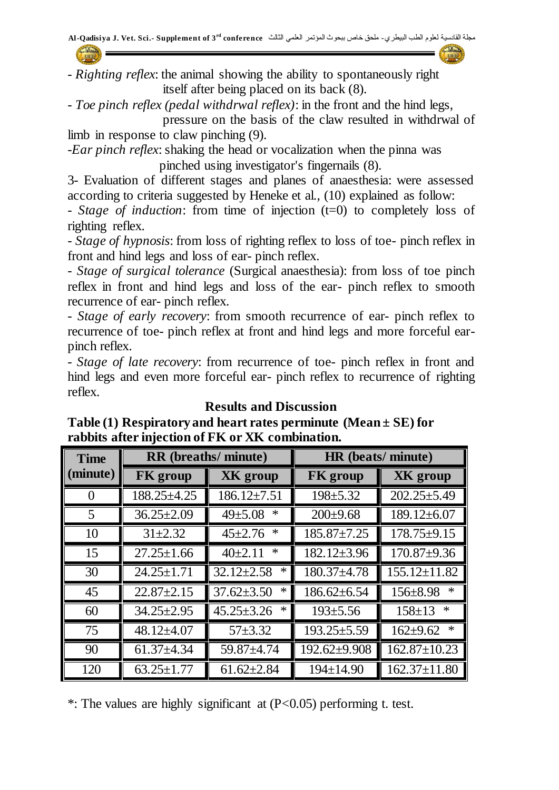- *Righting reflex*: the animal showing the ability to spontaneously right itself after being placed on its back (8).

*- Toe pinch reflex (pedal withdrwal reflex)*: in the front and the hind legs, pressure on the basis of the claw resulted in withdrwal of

limb in response to claw pinching (9). -*Ear pinch reflex*: shaking the head or vocalization when the pinna was

pinched using investigator's fingernails (8).

3- Evaluation of different stages and planes of anaesthesia: were assessed according to criteria suggested by Heneke et al., (10) explained as follow:

- *Stage of induction*: from time of injection (t=0) to completely loss of righting reflex.

- *Stage of hypnosis*: from loss of righting reflex to loss of toe- pinch reflex in front and hind legs and loss of ear- pinch reflex.

*- Stage of surgical tolerance* (Surgical anaesthesia): from loss of toe pinch reflex in front and hind legs and loss of the ear- pinch reflex to smooth recurrence of ear- pinch reflex.

- *Stage of early recovery*: from smooth recurrence of ear- pinch reflex to recurrence of toe- pinch reflex at front and hind legs and more forceful earpinch reflex.

- *Stage of late recovery*: from recurrence of toe- pinch reflex in front and hind legs and even more forceful ear- pinch reflex to recurrence of righting reflex.

#### **Results and Discussion Table (1) Respiratory and heart rates perminute (Mean ± SE) for rabbits after injection of FK or XK combination.**

| <b>Time</b> | <b>RR</b> (breaths/ minute) |                            | HR (beats/minute)  |                          |
|-------------|-----------------------------|----------------------------|--------------------|--------------------------|
| (minute)    | <b>FK</b> group             | XK group                   | <b>FK</b> group    | <b>XK</b> group          |
| 0           | $188.25 \pm 4.25$           | $186.12 \pm 7.51$          | $198 \pm 5.32$     | $202.25 \pm 5.49$        |
| 5           | $36.25 \pm 2.09$            | ∗<br>$49 \pm 5.08$         | $200 \pm 9.68$     | $189.12 \pm 6.07$        |
| 10          | $31\pm 2.32$                | ∗<br>$45 \pm 2.76$         | $185.87 \pm 7.25$  | $178.75 \pm 9.15$        |
| 15          | $27.25 \pm 1.66$            | ∗<br>$40\pm 2.11$          | $182.12 \pm 3.96$  | $170.87 \pm 9.36$        |
| 30          | $24.25 \pm 1.71$            | $32.12 \pm 2.58$<br>∗      | $180.37 \pm 4.78$  | $155.12 \pm 11.82$       |
| 45          | $22.87 \pm 2.15$            | $\ast$<br>$37.62 \pm 3.50$ | $186.62 \pm 6.54$  | $\ast$<br>$156 \pm 8.98$ |
| 60          | $34.25 \pm 2.95$            | $\ast$<br>$45.25 \pm 3.26$ | $193 \pm 5.56$     | $\ast$<br>$158 \pm 13$   |
| 75          | $48.12{\pm}4.07$            | $57 + 3.32$                | $193.25 \pm 5.59$  | $\ast$<br>$162 \pm 9.62$ |
| 90          | $61.37 + 4.34$              | $59.87 \pm 4.74$           | $192.62 \pm 9.908$ | $162.87 \pm 10.23$       |
| 120         | $63.25 \pm 1.77$            | $61.62 \pm 2.84$           | $194 \pm 14.90$    | $162.37 \pm 11.80$       |

\*: The values are highly significant at  $(P<0.05)$  performing t. test.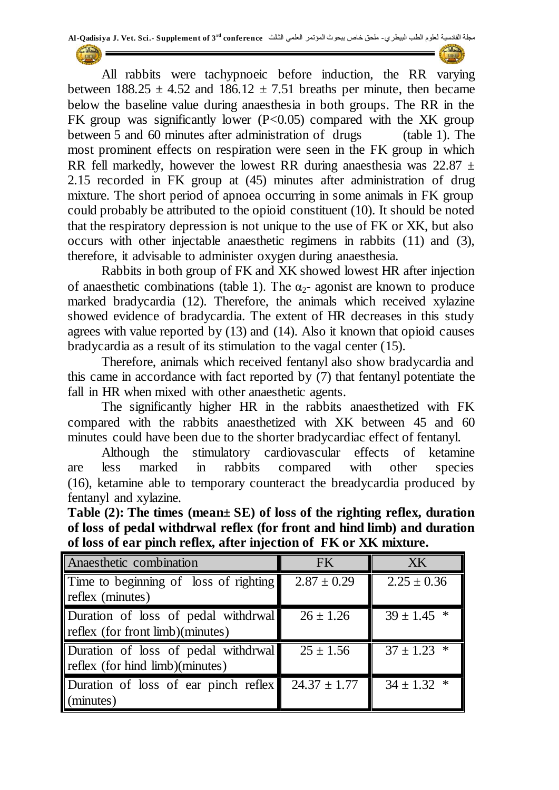All rabbits were tachypnoeic before induction, the RR varying between  $188.25 \pm 4.52$  and  $186.12 \pm 7.51$  breaths per minute, then became below the baseline value during anaesthesia in both groups. The RR in the FK group was significantly lower  $(P<0.05)$  compared with the XK group between 5 and 60 minutes after administration of drugs (table 1). The most prominent effects on respiration were seen in the FK group in which RR fell markedly, however the lowest RR during anaesthesia was  $22.87 \pm 1$ 2.15 recorded in FK group at (45) minutes after administration of drug mixture. The short period of apnoea occurring in some animals in FK group could probably be attributed to the opioid constituent (10). It should be noted that the respiratory depression is not unique to the use of FK or XK, but also occurs with other injectable anaesthetic regimens in rabbits (11) and (3), therefore, it advisable to administer oxygen during anaesthesia.

Rabbits in both group of FK and XK showed lowest HR after injection of anaesthetic combinations (table 1). The  $\alpha_{2}$ - agonist are known to produce marked bradycardia (12). Therefore, the animals which received xylazine showed evidence of bradycardia. The extent of HR decreases in this study agrees with value reported by (13) and (14). Also it known that opioid causes bradycardia as a result of its stimulation to the vagal center (15).

Therefore, animals which received fentanyl also show bradycardia and this came in accordance with fact reported by (7) that fentanyl potentiate the fall in HR when mixed with other anaesthetic agents.

The significantly higher HR in the rabbits anaesthetized with FK compared with the rabbits anaesthetized with XK between 45 and 60 minutes could have been due to the shorter bradycardiac effect of fentanyl.

Although the stimulatory cardiovascular effects of ketamine are less marked in rabbits compared with other species (16), ketamine able to temporary counteract the breadycardia produced by fentanyl and xylazine.

**Table (2): The times (mean± SE) of loss of the righting reflex, duration of loss of pedal withdrwal reflex (for front and hind limb) and duration of loss of ear pinch reflex, after injection of FK or XK mixture.**

| Anaesthetic combination               | <b>FK</b>        | XK              |
|---------------------------------------|------------------|-----------------|
| Time to beginning of loss of righting | $2.87 \pm 0.29$  | $2.25 \pm 0.36$ |
| reflex (minutes)                      |                  |                 |
| Duration of loss of pedal withdrwal   | $26 \pm 1.26$    | $39 \pm 1.45$ * |
| reflex (for front limb)(minutes)      |                  |                 |
| Duration of loss of pedal withdrwal   | $25 \pm 1.56$    | $37 \pm 1.23$ * |
| reflex (for hind limb)(minutes)       |                  |                 |
| Duration of loss of ear pinch reflex  | $24.37 \pm 1.77$ | $34 \pm 1.32$ * |
| (minutes)                             |                  |                 |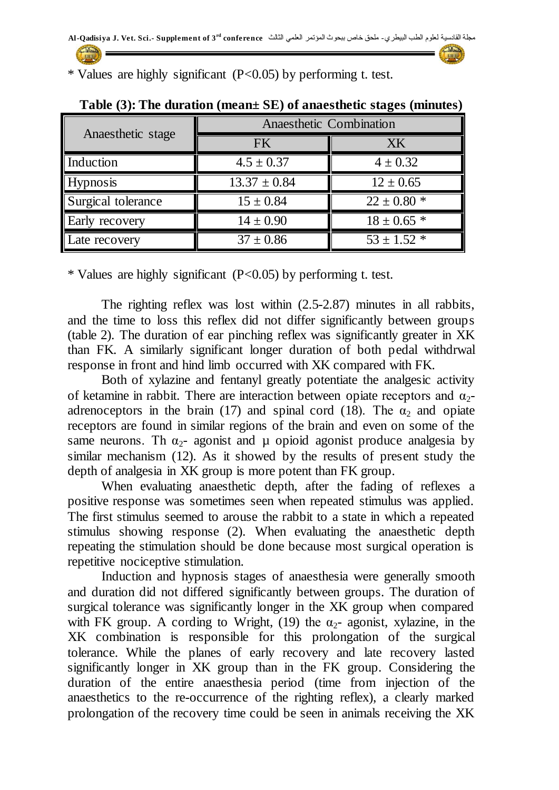**Table (3): The duration (mean± SE) of anaesthetic stages (minutes)**

| Anaesthetic stage  | Anaesthetic Combination |                 |  |
|--------------------|-------------------------|-----------------|--|
|                    | <b>FK</b>               | XK              |  |
| Induction          | $4.5 \pm 0.37$          | $4 \pm 0.32$    |  |
| <b>Hypnosis</b>    | $13.37 \pm 0.84$        | $12 \pm 0.65$   |  |
| Surgical tolerance | $15 \pm 0.84$           | $22 \pm 0.80$ * |  |
| Early recovery     | $14 \pm 0.90$           | $18 \pm 0.65$ * |  |
| Late recovery      | $37 \pm 0.86$           | $53 \pm 1.52$ * |  |

\* Values are highly significant  $(P<0.05)$  by performing t. test.

\* Values are highly significant  $(P<0.05)$  by performing t. test.

The righting reflex was lost within (2.5-2.87) minutes in all rabbits, and the time to loss this reflex did not differ significantly between groups (table 2). The duration of ear pinching reflex was significantly greater in XK than FK. A similarly significant longer duration of both pedal withdrwal response in front and hind limb occurred with XK compared with FK.

Both of xylazine and fentanyl greatly potentiate the analgesic activity of ketamine in rabbit. There are interaction between opiate receptors and  $\alpha$ <sup>2</sup>adrenoceptors in the brain (17) and spinal cord (18). The  $\alpha_2$  and opiate receptors are found in similar regions of the brain and even on some of the same neurons. Th  $\alpha_2$ - agonist and  $\mu$  opioid agonist produce analgesia by similar mechanism (12). As it showed by the results of present study the depth of analgesia in XK group is more potent than FK group.

When evaluating anaesthetic depth, after the fading of reflexes a positive response was sometimes seen when repeated stimulus was applied. The first stimulus seemed to arouse the rabbit to a state in which a repeated stimulus showing response (2). When evaluating the anaesthetic depth repeating the stimulation should be done because most surgical operation is repetitive nociceptive stimulation.

Induction and hypnosis stages of anaesthesia were generally smooth and duration did not differed significantly between groups. The duration of surgical tolerance was significantly longer in the XK group when compared with FK group. A cording to Wright, (19) the  $\alpha_{2}$ - agonist, xylazine, in the XK combination is responsible for this prolongation of the surgical tolerance. While the planes of early recovery and late recovery lasted significantly longer in XK group than in the FK group. Considering the duration of the entire anaesthesia period (time from injection of the anaesthetics to the re-occurrence of the righting reflex), a clearly marked prolongation of the recovery time could be seen in animals receiving the XK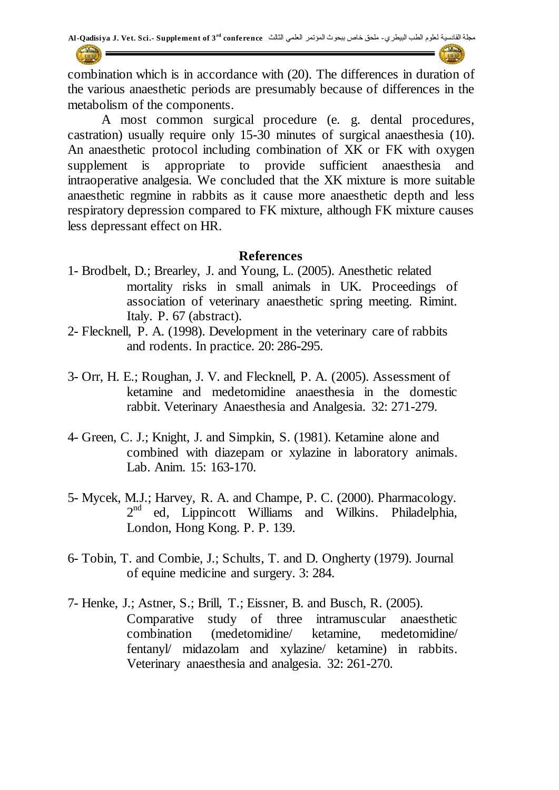combination which is in accordance with (20). The differences in duration of the various anaesthetic periods are presumably because of differences in the metabolism of the components.

A most common surgical procedure (e. g. dental procedures, castration) usually require only 15-30 minutes of surgical anaesthesia (10). An anaesthetic protocol including combination of XK or FK with oxygen supplement is appropriate to provide sufficient anaesthesia and intraoperative analgesia. We concluded that the XK mixture is more suitable anaesthetic regmine in rabbits as it cause more anaesthetic depth and less respiratory depression compared to FK mixture, although FK mixture causes less depressant effect on HR.

#### **References**

- 1- Brodbelt, D.; Brearley, J. and Young, L. (2005). Anesthetic related mortality risks in small animals in UK. Proceedings of association of veterinary anaesthetic spring meeting. Rimint. Italy. P. 67 (abstract).
- 2- Flecknell, P. A. (1998). Development in the veterinary care of rabbits and rodents. In practice. 20: 286-295.
- 3- Orr, H. E.; Roughan, J. V. and Flecknell, P. A. (2005). Assessment of ketamine and medetomidine anaesthesia in the domestic rabbit. Veterinary Anaesthesia and Analgesia. 32: 271-279.
- 4- Green, C. J.; Knight, J. and Simpkin, S. (1981). Ketamine alone and combined with diazepam or xylazine in laboratory animals. Lab. Anim. 15: 163-170.
- 5- Mycek, M.J.; Harvey, R. A. and Champe, P. C. (2000). Pharmacology. 2<sup>nd</sup> ed, Lippincott Williams and Wilkins. Philadelphia, London, Hong Kong. P. P. 139.
- 6- Tobin, T. and Combie, J.; Schults, T. and D. Ongherty (1979). Journal of equine medicine and surgery. 3: 284.
- 7- Henke, J.; Astner, S.; Brill, T.; Eissner, B. and Busch, R. (2005). Comparative study of three intramuscular anaesthetic combination (medetomidine/ ketamine, medetomidine/ fentanyl/ midazolam and xylazine/ ketamine) in rabbits. Veterinary anaesthesia and analgesia. 32: 261-270.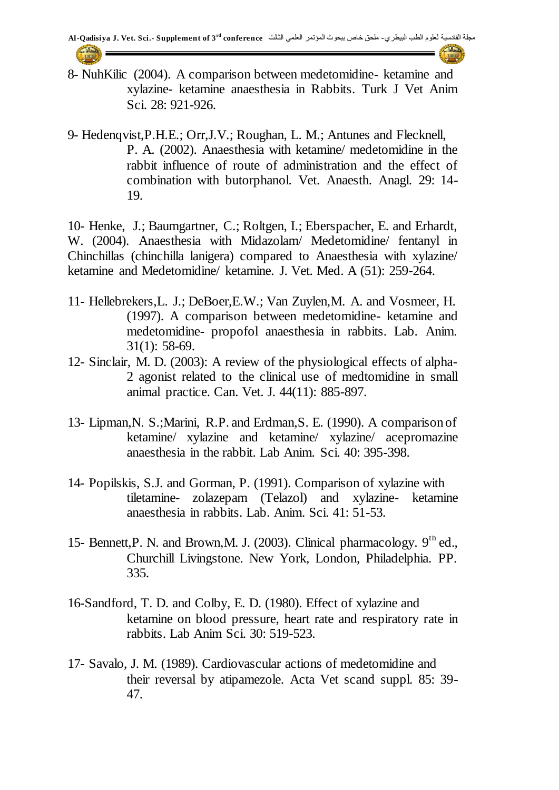8- NuhKilic (2004). A comparison between medetomidine- ketamine and xylazine- ketamine anaesthesia in Rabbits. Turk J Vet Anim Sci. 28: 921-926.

9- Hedenqvist,P.H.E.; Orr,J.V.; Roughan, L. M.; Antunes and Flecknell, P. A. (2002). Anaesthesia with ketamine/ medetomidine in the rabbit influence of route of administration and the effect of combination with butorphanol. Vet. Anaesth. Anagl. 29: 14- 19.

10- Henke, J.; Baumgartner, C.; Roltgen, I.; Eberspacher, E. and Erhardt, W. (2004). Anaesthesia with Midazolam/ Medetomidine/ fentanyl in Chinchillas (chinchilla lanigera) compared to Anaesthesia with xylazine/ ketamine and Medetomidine/ ketamine. J. Vet. Med. A (51): 259-264.

- 11- Hellebrekers,L. J.; DeBoer,E.W.; Van Zuylen,M. A. and Vosmeer, H. (1997). A comparison between medetomidine- ketamine and medetomidine- propofol anaesthesia in rabbits. Lab. Anim. 31(1): 58-69.
- 12- Sinclair, M. D. (2003): A review of the physiological effects of alpha-2 agonist related to the clinical use of medtomidine in small animal practice. Can. Vet. J. 44(11): 885-897.
- 13- Lipman,N. S.;Marini, R.P. and Erdman,S. E. (1990). A comparison of ketamine/ xylazine and ketamine/ xylazine/ acepromazine anaesthesia in the rabbit. Lab Anim. Sci. 40: 395-398.
- 14- Popilskis, S.J. and Gorman, P. (1991). Comparison of xylazine with tiletamine- zolazepam (Telazol) and xylazine- ketamine anaesthesia in rabbits. Lab. Anim. Sci. 41: 51-53.
- 15- Bennett, P. N. and Brown, M. J. (2003). Clinical pharmacology.  $9<sup>th</sup>$  ed., Churchill Livingstone. New York, London, Philadelphia. PP. 335.
- 16-Sandford, T. D. and Colby, E. D. (1980). Effect of xylazine and ketamine on blood pressure, heart rate and respiratory rate in rabbits. Lab Anim Sci. 30: 519-523.
- 17- Savalo, J. M. (1989). Cardiovascular actions of medetomidine and their reversal by atipamezole. Acta Vet scand suppl. 85: 39- 47.